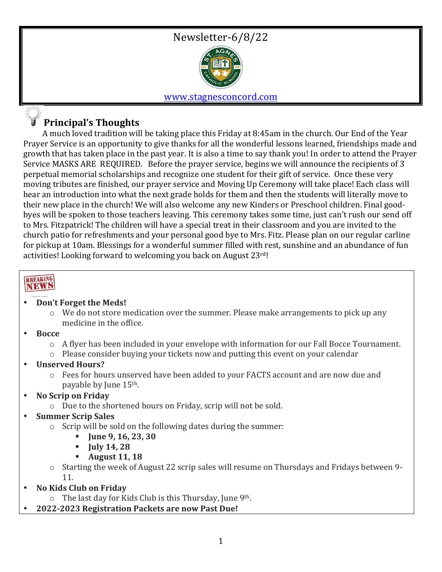

### www.stagnesconcord.com

### **Principal's Thoughts**

A much loved tradition will be taking place this Friday at 8:45am in the church. Our End of the Year Prayer Service is an opportunity to give thanks for all the wonderful lessons learned, friendships made and growth that has taken place in the past year. It is also a time to say thank you! In order to attend the Prayer Service MASKS ARE REQUIRED. Before the prayer service, begins we will announce the recipients of 3 perpetual memorial scholarships and recognize one student for their gift of service. Once these very moving tributes are finished, our prayer service and Moving Up Ceremony will take place! Each class will hear an introduction into what the next grade holds for them and then the students will literally move to their new place in the church! We will also welcome any new Kinders or Preschool children. Final goodbyes will be spoken to those teachers leaving. This ceremony takes some time, just can't rush our send off to Mrs. Fitzpatrick! The children will have a special treat in their classroom and you are invited to the church patio for refreshments and your personal good bye to Mrs. Fitz. Please plan on our regular carline for pickup at 10am. Blessings for a wonderful summer filled with rest, sunshine and an abundance of fun activities! Looking forward to welcoming you back on August  $23^{\text{rd}}$ !

# **BREAKING**<br>NEWS

#### • **Don't Forget the Meds!**

- $\circ$  We do not store medication over the summer. Please make arrangements to pick up any medicine in the office.
- **Bocce**
	- $\circ$  A flyer has been included in your envelope with information for our Fall Bocce Tournament.
	- $\circ$  Please consider buying your tickets now and putting this event on your calendar
- **Unserved Hours?**
	- $\circ$  Fees for hours unserved have been added to your FACTS account and are now due and payable by June 15<sup>th</sup>.
- **No Scrip on Friday**
	- $\circ$  Due to the shortened hours on Friday, scrip will not be sold.
- **Summer Scrip Sales** 
	- $\circ$  Scrip will be sold on the following dates during the summer:
		- **June 9, 16, 23, 30**
		- § **July 14, 28**
		- § **August 11, 18**
	- $\circ$  Starting the week of August 22 scrip sales will resume on Thursdays and Fridays between 9-11.
- **No Kids Club on Friday**
	- $\circ$  The last day for Kids Club is this Thursday, June 9<sup>th</sup>.
- **2022-2023 Registration Packets are now Past Due!**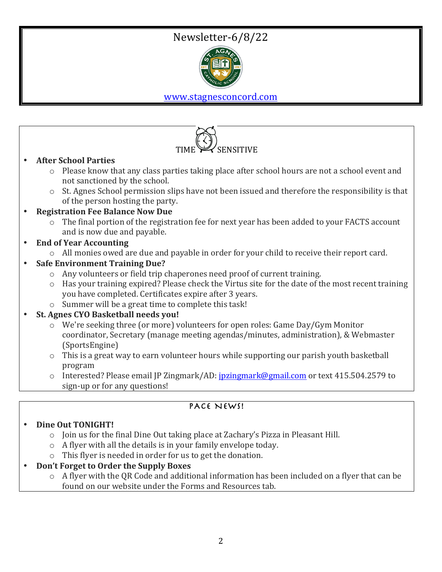## Newsletter-6/8/22



www.stagnesconcord.com



- coordinator, Secretary (manage meeting agendas/minutes, administration), & Webmaster (SportsEngine)
- $\circ$  This is a great way to earn volunteer hours while supporting our parish youth basketball program
- o Interested? Please email JP Zingmark/AD: jpzingmark@gmail.com or text 415.504.2579 to sign-up or for any questions!

### PACE NEWS!

### • **Dine Out TONIGHT!**

- $\circ$  Join us for the final Dine Out taking place at Zachary's Pizza in Pleasant Hill.
- $\circ$  A flyer with all the details is in your family envelope today.
- $\circ$  This flyer is needed in order for us to get the donation.
- **Don't Forget to Order the Supply Boxes** 
	- $\circ$  A flyer with the QR Code and additional information has been included on a flyer that can be found on our website under the Forms and Resources tab.